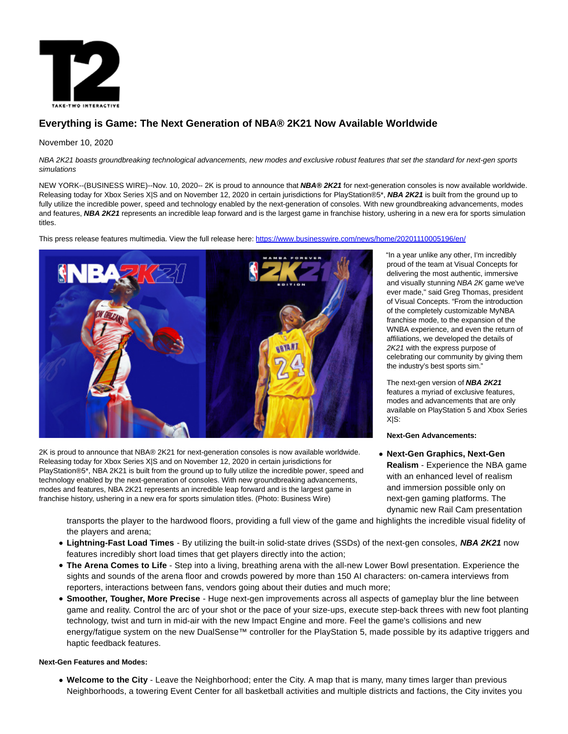

# **Everything is Game: The Next Generation of NBA® 2K21 Now Available Worldwide**

## November 10, 2020

NBA 2K21 boasts groundbreaking technological advancements, new modes and exclusive robust features that set the standard for next-gen sports simulations

NEW YORK--(BUSINESS WIRE)--Nov. 10, 2020-- 2K is proud to announce that **NBA® 2K21** for next-generation consoles is now available worldwide. Releasing today for Xbox Series X|S and on November 12, 2020 in certain jurisdictions for PlayStation®5\*, **NBA 2K21** is built from the ground up to fully utilize the incredible power, speed and technology enabled by the next-generation of consoles. With new groundbreaking advancements, modes and features, NBA 2K21 represents an incredible leap forward and is the largest game in franchise history, ushering in a new era for sports simulation titles.

This press release features multimedia. View the full release here:<https://www.businesswire.com/news/home/20201110005196/en/>



2K is proud to announce that NBA® 2K21 for next-generation consoles is now available worldwide. Releasing today for Xbox Series X|S and on November 12, 2020 in certain jurisdictions for PlayStation®5\*, NBA 2K21 is built from the ground up to fully utilize the incredible power, speed and technology enabled by the next-generation of consoles. With new groundbreaking advancements, modes and features, NBA 2K21 represents an incredible leap forward and is the largest game in franchise history, ushering in a new era for sports simulation titles. (Photo: Business Wire)

"In a year unlike any other, I'm incredibly proud of the team at Visual Concepts for delivering the most authentic, immersive and visually stunning NBA 2K game we've ever made," said Greg Thomas, president of Visual Concepts. "From the introduction of the completely customizable MyNBA franchise mode, to the expansion of the WNBA experience, and even the return of affiliations, we developed the details of 2K21 with the express purpose of celebrating our community by giving them the industry's best sports sim."

The next-gen version of **NBA 2K21** features a myriad of exclusive features, modes and advancements that are only available on PlayStation 5 and Xbox Series X|S:

**Next-Gen Advancements:**

**Next-Gen Graphics, Next-Gen Realism** - Experience the NBA game with an enhanced level of realism and immersion possible only on next-gen gaming platforms. The dynamic new Rail Cam presentation

transports the player to the hardwood floors, providing a full view of the game and highlights the incredible visual fidelity of the players and arena;

- **Lightning-Fast Load Times**  By utilizing the built-in solid-state drives (SSDs) of the next-gen consoles, **NBA 2K21** now features incredibly short load times that get players directly into the action;
- **The Arena Comes to Life** Step into a living, breathing arena with the all-new Lower Bowl presentation. Experience the sights and sounds of the arena floor and crowds powered by more than 150 AI characters: on-camera interviews from reporters, interactions between fans, vendors going about their duties and much more;
- **Smoother, Tougher, More Precise**  Huge next-gen improvements across all aspects of gameplay blur the line between game and reality. Control the arc of your shot or the pace of your size-ups, execute step-back threes with new foot planting technology, twist and turn in mid-air with the new Impact Engine and more. Feel the game's collisions and new energy/fatigue system on the new DualSense™ controller for the PlayStation 5, made possible by its adaptive triggers and haptic feedback features.

### **Next-Gen Features and Modes:**

**Welcome to the City** - Leave the Neighborhood; enter the City. A map that is many, many times larger than previous Neighborhoods, a towering Event Center for all basketball activities and multiple districts and factions, the City invites you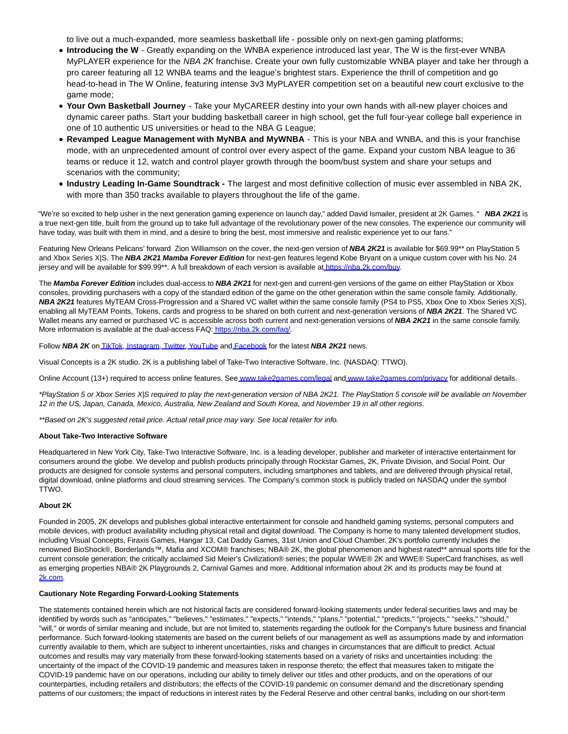to live out a much-expanded, more seamless basketball life - possible only on next-gen gaming platforms;

- **Introducing the W**  Greatly expanding on the WNBA experience introduced last year, The W is the first-ever WNBA MyPLAYER experience for the NBA 2K franchise. Create your own fully customizable WNBA player and take her through a pro career featuring all 12 WNBA teams and the league's brightest stars. Experience the thrill of competition and go head-to-head in The W Online, featuring intense 3v3 MyPLAYER competition set on a beautiful new court exclusive to the game mode;
- **Your Own Basketball Journey**  Take your MyCAREER destiny into your own hands with all-new player choices and dynamic career paths. Start your budding basketball career in high school, get the full four-year college ball experience in one of 10 authentic US universities or head to the NBA G League;
- **Revamped League Management with MyNBA and MyWNBA This is your NBA and WNBA, and this is your franchise** mode, with an unprecedented amount of control over every aspect of the game. Expand your custom NBA league to 36 teams or reduce it 12, watch and control player growth through the boom/bust system and share your setups and scenarios with the community;
- **Industry Leading In-Game Soundtrack** The largest and most definitive collection of music ever assembled in NBA 2K, with more than 350 tracks available to players throughout the life of the game.

"We're so excited to help usher in the next generation gaming experience on launch day," added David Ismailer, president at 2K Games. " **NBA 2K21** is a true next-gen title, built from the ground up to take full advantage of the revolutionary power of the new consoles. The experience our community will have today, was built with them in mind, and a desire to bring the best, most immersive and realistic experience yet to our fans."

Featuring New Orleans Pelicans' forward Zion Williamson on the cover, the next-gen version of **NBA 2K21** is available for \$69.99\*\* on PlayStation 5 and Xbox Series X|S. The **NBA 2K21 Mamba Forever Edition** for next-gen features legend Kobe Bryant on a unique custom cover with his No. 24 jersey and will be available for \$99.99\*\*. A full breakdown of each version is available a[t https://nba.2k.com/buy.](https://cts.businesswire.com/ct/CT?id=smartlink&url=https%3A%2F%2Fnba.2k.com%2Fbuy&esheet=52323271&newsitemid=20201110005196&lan=en-US&anchor=https%3A%2F%2Fnba.2k.com%2Fbuy&index=1&md5=3562516e4ac1d94c52fd55ecabca9bf2)

The **Mamba Forever Edition** includes dual-access to **NBA 2K21** for next-gen and current-gen versions of the game on either PlayStation or Xbox consoles, providing purchasers with a copy of the standard edition of the game on the other generation within the same console family. Additionally, **NBA 2K21** features MyTEAM Cross-Progression and a Shared VC wallet within the same console family (PS4 to PS5, Xbox One to Xbox Series X|S), enabling all MyTEAM Points, Tokens, cards and progress to be shared on both current and next-generation versions of **NBA 2K21**. The Shared VC Wallet means any earned or purchased VC is accessible across both current and next-generation versions of **NBA 2K21** in the same console family. More information is available at the dual-access FAQ[: https://nba.2k.com/faq/.](https://cts.businesswire.com/ct/CT?id=smartlink&url=https%3A%2F%2Fnba.2k.com%2Ffaq%2F&esheet=52323271&newsitemid=20201110005196&lan=en-US&anchor=https%3A%2F%2Fnba.2k.com%2Ffaq%2F&index=2&md5=d54f35005c6d1a00ead393e9f8934ac4)

Follow **NBA 2K** o[n TikTok,](https://cts.businesswire.com/ct/CT?id=smartlink&url=https%3A%2F%2Fvm.tiktok.com%2FJegYRWK%2F&esheet=52323271&newsitemid=20201110005196&lan=en-US&anchor=TikTok&index=3&md5=199a4665f63ca863b22377dbc021cd02) [Instagram,](https://cts.businesswire.com/ct/CT?id=smartlink&url=https%3A%2F%2Fwww.instagram.com%2Fnba2k%2F&esheet=52323271&newsitemid=20201110005196&lan=en-US&anchor=Instagram&index=4&md5=ed1015b3511efeb8ab986a4ca1213f7a) [Twitter,](https://cts.businesswire.com/ct/CT?id=smartlink&url=https%3A%2F%2Ftwitter.com%2Fnba2k&esheet=52323271&newsitemid=20201110005196&lan=en-US&anchor=Twitter&index=5&md5=4789a9dd5b3c3b65c713711c7ca53926) [YouTube a](https://cts.businesswire.com/ct/CT?id=smartlink&url=https%3A%2F%2Fwww.youtube.com%2Fchannel%2FUCYAJjqIukwm4r3GHEpJDhVw&esheet=52323271&newsitemid=20201110005196&lan=en-US&anchor=YouTube&index=6&md5=9da13d9a634f5d1e10988d8204d853d2)n[d Facebook f](https://cts.businesswire.com/ct/CT?id=smartlink&url=https%3A%2F%2Fwww.facebook.com%2FNBA2K%2F&esheet=52323271&newsitemid=20201110005196&lan=en-US&anchor=Facebook&index=7&md5=6462b027e67b2ef8de035e80eca0cde5)or the latest **NBA 2K21** news.

Visual Concepts is a 2K studio. 2K is a publishing label of Take-Two Interactive Software, Inc. (NASDAQ: TTWO).

Online Account (13+) required to access online features. Se[e www.take2games.com/legal a](https://cts.businesswire.com/ct/CT?id=smartlink&url=http%3A%2F%2Fwww.take2games.com%2Flegal&esheet=52323271&newsitemid=20201110005196&lan=en-US&anchor=www.take2games.com%2Flegal&index=8&md5=81d98c934534f0d32e5fdf1e112c9e40)n[d www.take2games.com/privacy f](https://cts.businesswire.com/ct/CT?id=smartlink&url=http%3A%2F%2Fwww.take2games.com%2Fprivacy&esheet=52323271&newsitemid=20201110005196&lan=en-US&anchor=www.take2games.com%2Fprivacy&index=9&md5=1194a27aae9e1e609bed78a45775b81f)or additional details.

\*PlayStation 5 or Xbox Series X|S required to play the next-generation version of NBA 2K21. The PlayStation 5 console will be available on November 12 in the US, Japan, Canada, Mexico, Australia, New Zealand and South Korea, and November 19 in all other regions.

\*\*Based on 2K's suggested retail price. Actual retail price may vary. See local retailer for info.

#### **About Take-Two Interactive Software**

Headquartered in New York City, Take-Two Interactive Software, Inc. is a leading developer, publisher and marketer of interactive entertainment for consumers around the globe. We develop and publish products principally through Rockstar Games, 2K, Private Division, and Social Point. Our products are designed for console systems and personal computers, including smartphones and tablets, and are delivered through physical retail, digital download, online platforms and cloud streaming services. The Company's common stock is publicly traded on NASDAQ under the symbol TTWO.

#### **About 2K**

Founded in 2005, 2K develops and publishes global interactive entertainment for console and handheld gaming systems, personal computers and mobile devices, with product availability including physical retail and digital download. The Company is home to many talented development studios, including Visual Concepts, Firaxis Games, Hangar 13, Cat Daddy Games, 31st Union and Cloud Chamber. 2K's portfolio currently includes the renowned BioShock®, Borderlands™, Mafia and XCOM® franchises; NBA® 2K, the global phenomenon and highest rated\*\* annual sports title for the current console generation; the critically acclaimed Sid Meier's Civilization® series; the popular WWE® 2K and WWE® SuperCard franchises, as well as emerging properties NBA® 2K Playgrounds 2, Carnival Games and more. Additional information about 2K and its products may be found at [2k.com.](https://cts.businesswire.com/ct/CT?id=smartlink&url=http%3A%2F%2Fwww.2k.com%2F&esheet=52323271&newsitemid=20201110005196&lan=en-US&anchor=2k.com&index=10&md5=6e66fb27c0eae82fb94f2f14b4597a75)

#### **Cautionary Note Regarding Forward-Looking Statements**

The statements contained herein which are not historical facts are considered forward-looking statements under federal securities laws and may be identified by words such as "anticipates," "believes," "estimates," "expects," "intends," "plans," "potential," "predicts," "projects," "seeks," "should," "will," or words of similar meaning and include, but are not limited to, statements regarding the outlook for the Company's future business and financial performance. Such forward-looking statements are based on the current beliefs of our management as well as assumptions made by and information currently available to them, which are subject to inherent uncertainties, risks and changes in circumstances that are difficult to predict. Actual outcomes and results may vary materially from these forward-looking statements based on a variety of risks and uncertainties including: the uncertainty of the impact of the COVID-19 pandemic and measures taken in response thereto; the effect that measures taken to mitigate the COVID-19 pandemic have on our operations, including our ability to timely deliver our titles and other products, and on the operations of our counterparties, including retailers and distributors; the effects of the COVID-19 pandemic on consumer demand and the discretionary spending patterns of our customers; the impact of reductions in interest rates by the Federal Reserve and other central banks, including on our short-term